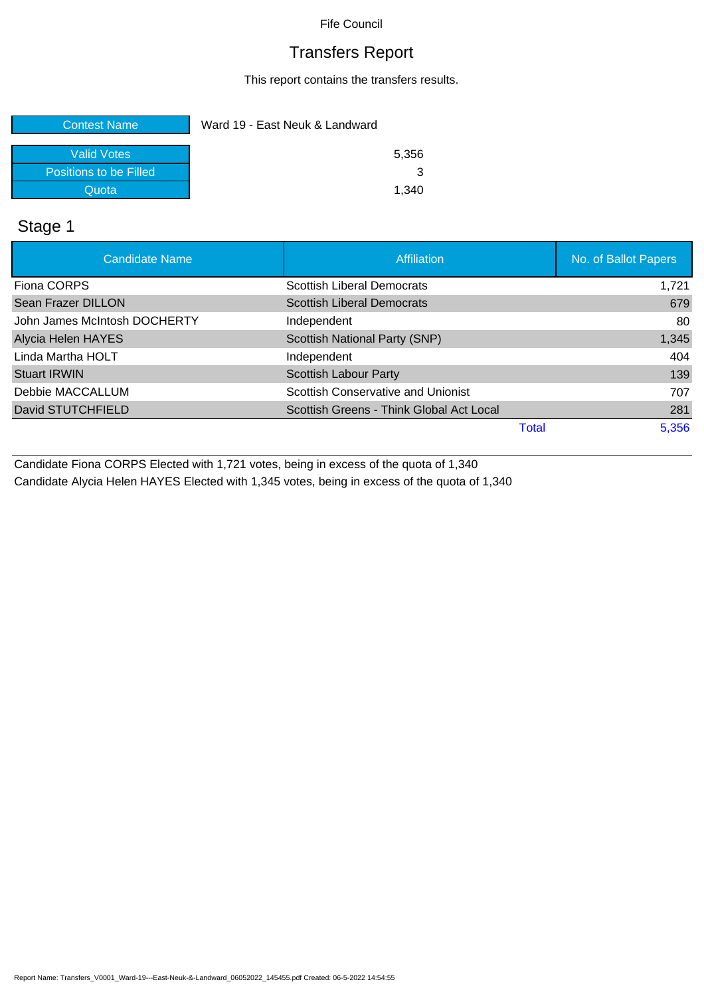## Transfers Report

This report contains the transfers results.

| <b>Contest Name</b>    | Ward 19 - East Neuk & Landward |       |
|------------------------|--------------------------------|-------|
| Valid Votes            |                                | 5,356 |
| Positions to be Filled |                                |       |
| Quota                  |                                | 1.340 |

## Stage 1

| <b>Candidate Name</b>        | Affiliation                              | No. of Ballot Papers |
|------------------------------|------------------------------------------|----------------------|
| Fiona CORPS                  | <b>Scottish Liberal Democrats</b>        | 1.721                |
| Sean Frazer DILLON           | <b>Scottish Liberal Democrats</b>        | 679                  |
| John James McIntosh DOCHERTY | Independent                              | 80                   |
| Alycia Helen HAYES           | Scottish National Party (SNP)            | 1,345                |
| Linda Martha HOLT            | Independent                              | 404                  |
| <b>Stuart IRWIN</b>          | <b>Scottish Labour Party</b>             | 139                  |
| Debbie MACCALLUM             | Scottish Conservative and Unionist       | 707                  |
| David STUTCHFIELD            | Scottish Greens - Think Global Act Local | 281                  |
|                              | <b>Total</b>                             | 5,356                |

Candidate Fiona CORPS Elected with 1,721 votes, being in excess of the quota of 1,340 Candidate Alycia Helen HAYES Elected with 1,345 votes, being in excess of the quota of 1,340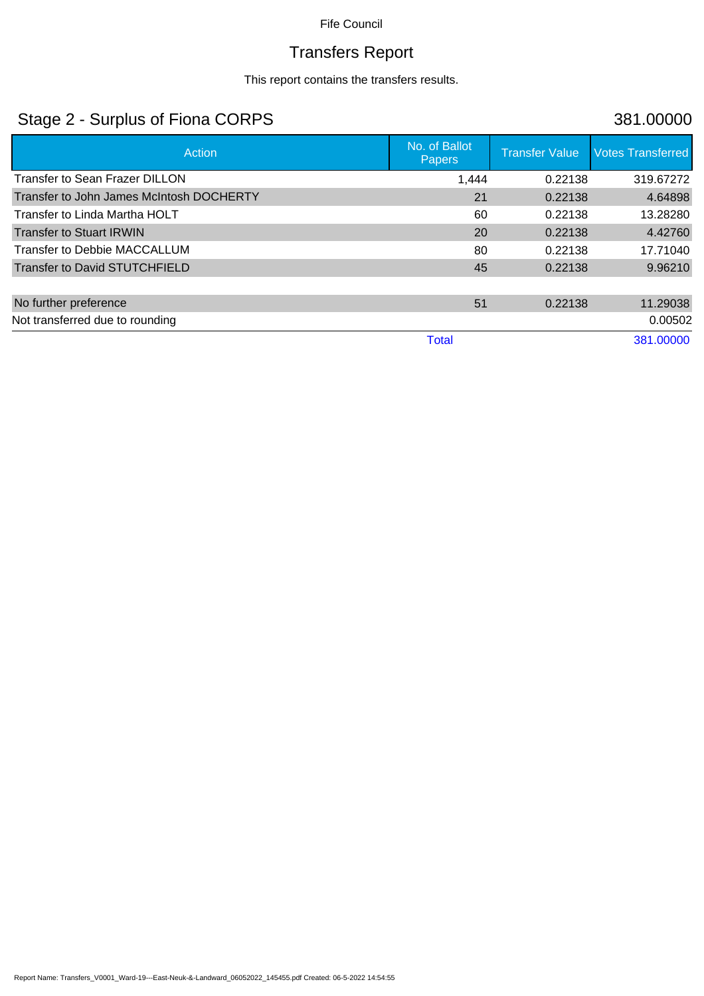# Transfers Report

This report contains the transfers results.

## Stage 2 - Surplus of Fiona CORPS 381.00000

| Action                                   | No. of Ballot<br><b>Papers</b> | <b>Transfer Value</b> | <b>Votes Transferred</b> |
|------------------------------------------|--------------------------------|-----------------------|--------------------------|
| <b>Transfer to Sean Frazer DILLON</b>    | 1,444                          | 0.22138               | 319.67272                |
| Transfer to John James McIntosh DOCHERTY | 21                             | 0.22138               | 4.64898                  |
| Transfer to Linda Martha HOLT            | 60                             | 0.22138               | 13.28280                 |
| <b>Transfer to Stuart IRWIN</b>          | 20                             | 0.22138               | 4.42760                  |
| Transfer to Debbie MACCALLUM             | 80                             | 0.22138               | 17.71040                 |
| <b>Transfer to David STUTCHFIELD</b>     | 45                             | 0.22138               | 9.96210                  |
|                                          |                                |                       |                          |
| No further preference                    | 51                             | 0.22138               | 11.29038                 |
| Not transferred due to rounding          |                                |                       | 0.00502                  |
|                                          | <b>Total</b>                   |                       | 381.00000                |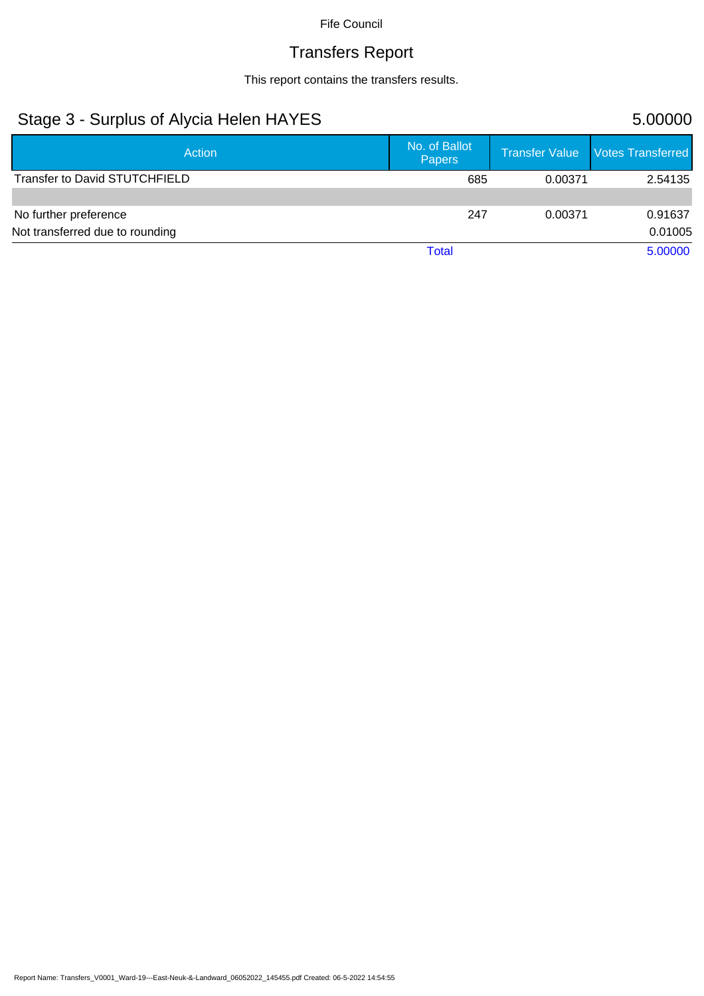# Transfers Report

This report contains the transfers results.

## Stage 3 - Surplus of Alycia Helen HAYES 5.00000

| Action                          | No. of Ballot<br>Papers |         | Transfer Value Votes Transferred |
|---------------------------------|-------------------------|---------|----------------------------------|
| Transfer to David STUTCHFIELD   | 685                     | 0.00371 | 2.54135                          |
|                                 |                         |         |                                  |
| No further preference           | 247                     | 0.00371 | 0.91637                          |
| Not transferred due to rounding |                         |         | 0.01005                          |
|                                 | Total                   |         | 5.00000                          |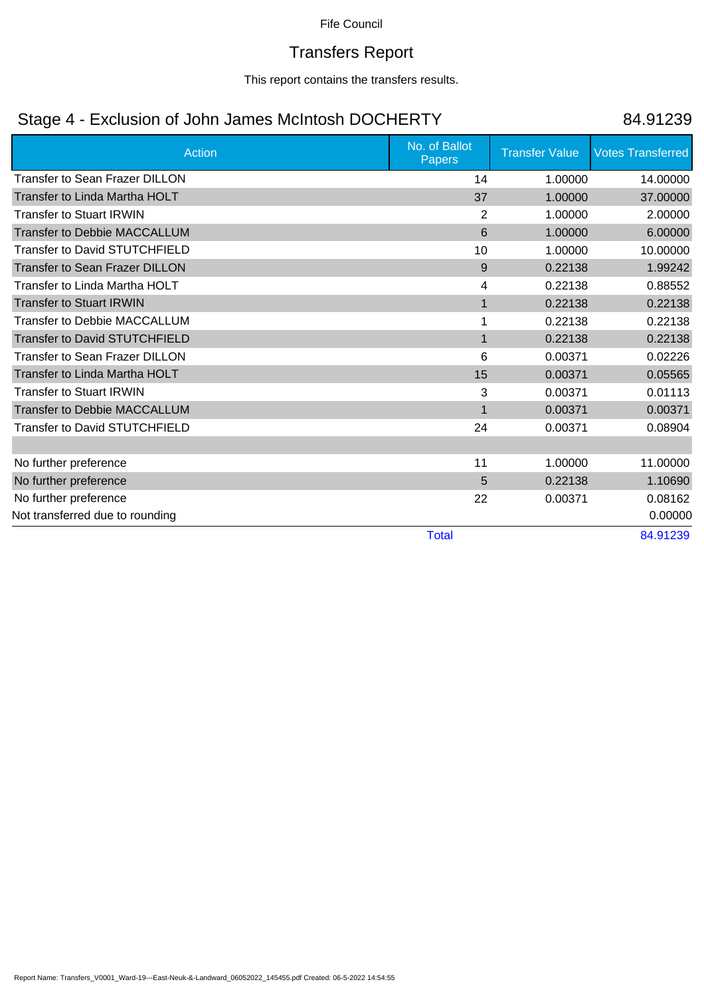## Transfers Report

This report contains the transfers results.

## Stage 4 - Exclusion of John James McIntosh DOCHERTY 84.91239

| <b>Action</b>                         | No. of Ballot<br>Papers | <b>Transfer Value</b> | <b>Votes Transferred</b> |
|---------------------------------------|-------------------------|-----------------------|--------------------------|
| <b>Transfer to Sean Frazer DILLON</b> | 14                      | 1.00000               | 14.00000                 |
| Transfer to Linda Martha HOLT         | 37                      | 1.00000               | 37.00000                 |
| <b>Transfer to Stuart IRWIN</b>       | 2                       | 1.00000               | 2.00000                  |
| <b>Transfer to Debbie MACCALLUM</b>   | 6                       | 1.00000               | 6.00000                  |
| <b>Transfer to David STUTCHFIELD</b>  | 10                      | 1.00000               | 10.00000                 |
| <b>Transfer to Sean Frazer DILLON</b> | 9                       | 0.22138               | 1.99242                  |
| Transfer to Linda Martha HOLT         | 4                       | 0.22138               | 0.88552                  |
| <b>Transfer to Stuart IRWIN</b>       | $\mathbf{1}$            | 0.22138               | 0.22138                  |
| <b>Transfer to Debbie MACCALLUM</b>   |                         | 0.22138               | 0.22138                  |
| <b>Transfer to David STUTCHFIELD</b>  | $\mathbf{1}$            | 0.22138               | 0.22138                  |
| Transfer to Sean Frazer DILLON        | 6                       | 0.00371               | 0.02226                  |
| Transfer to Linda Martha HOLT         | 15                      | 0.00371               | 0.05565                  |
| <b>Transfer to Stuart IRWIN</b>       | 3                       | 0.00371               | 0.01113                  |
| <b>Transfer to Debbie MACCALLUM</b>   | $\mathbf 1$             | 0.00371               | 0.00371                  |
| <b>Transfer to David STUTCHFIELD</b>  | 24                      | 0.00371               | 0.08904                  |
|                                       |                         |                       |                          |
| No further preference                 | 11                      | 1.00000               | 11.00000                 |
| No further preference                 | 5                       | 0.22138               | 1.10690                  |
| No further preference                 | 22                      | 0.00371               | 0.08162                  |
| Not transferred due to rounding       |                         |                       | 0.00000                  |
|                                       | <b>Total</b>            |                       | 84.91239                 |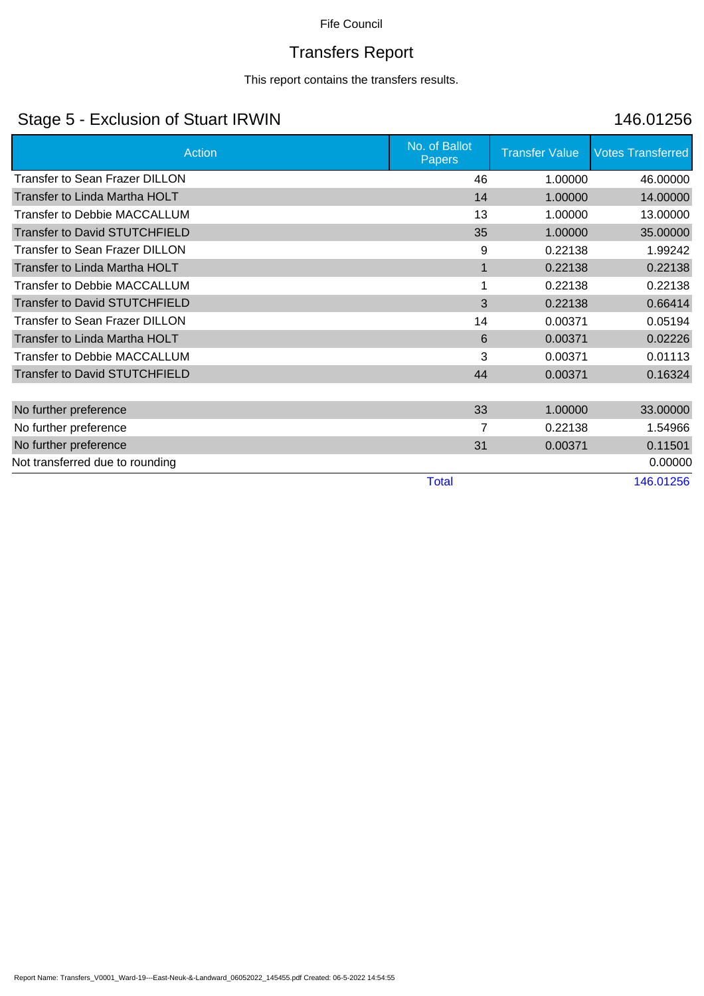# Transfers Report

This report contains the transfers results.

## Stage 5 - Exclusion of Stuart IRWIN 146.01256

| Action                                | No. of Ballot<br>Papers | <b>Transfer Value</b> | <b>Votes Transferred</b> |
|---------------------------------------|-------------------------|-----------------------|--------------------------|
| Transfer to Sean Frazer DILLON        | 46                      | 1.00000               | 46.00000                 |
| Transfer to Linda Martha HOLT         | 14                      | 1.00000               | 14.00000                 |
| <b>Transfer to Debbie MACCALLUM</b>   | 13                      | 1.00000               | 13.00000                 |
| <b>Transfer to David STUTCHFIELD</b>  | 35                      | 1.00000               | 35.00000                 |
| <b>Transfer to Sean Frazer DILLON</b> | 9                       | 0.22138               | 1.99242                  |
| Transfer to Linda Martha HOLT         | 1                       | 0.22138               | 0.22138                  |
| <b>Transfer to Debbie MACCALLUM</b>   | 1                       | 0.22138               | 0.22138                  |
| <b>Transfer to David STUTCHFIELD</b>  | 3                       | 0.22138               | 0.66414                  |
| <b>Transfer to Sean Frazer DILLON</b> | 14                      | 0.00371               | 0.05194                  |
| Transfer to Linda Martha HOLT         | 6                       | 0.00371               | 0.02226                  |
| <b>Transfer to Debbie MACCALLUM</b>   | 3                       | 0.00371               | 0.01113                  |
| <b>Transfer to David STUTCHFIELD</b>  | 44                      | 0.00371               | 0.16324                  |
|                                       |                         |                       |                          |
| No further preference                 | 33                      | 1.00000               | 33.00000                 |
| No further preference                 | 7                       | 0.22138               | 1.54966                  |
| No further preference                 | 31                      | 0.00371               | 0.11501                  |
| Not transferred due to rounding       |                         |                       | 0.00000                  |
|                                       | <b>Total</b>            |                       | 146.01256                |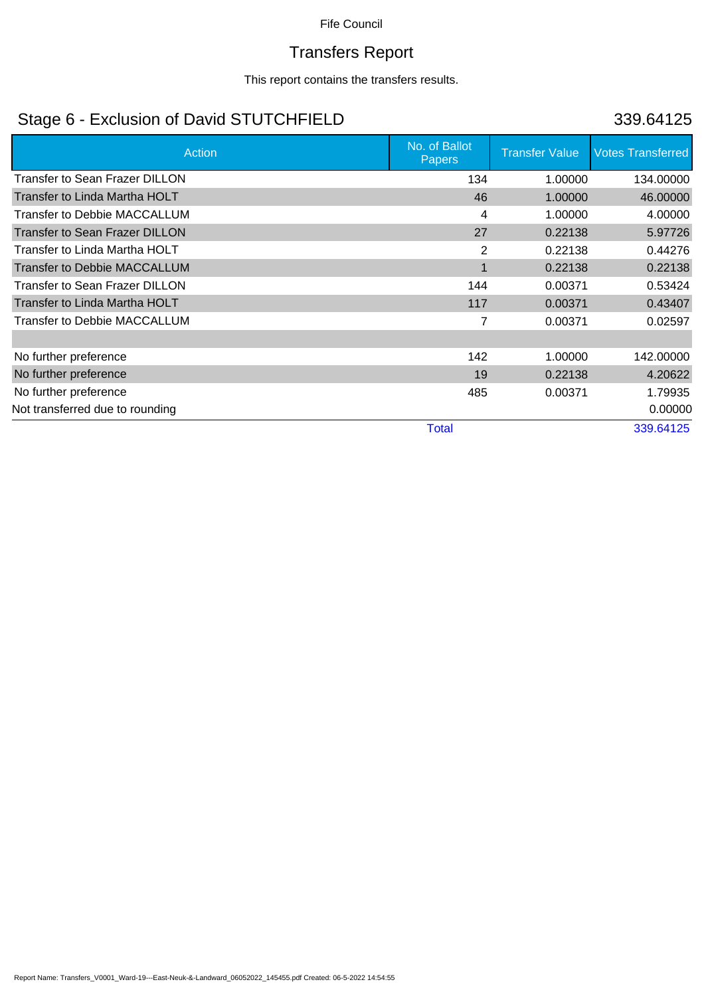# Transfers Report

This report contains the transfers results.

# Stage 6 - Exclusion of David STUTCHFIELD 339.64125

| Action                                | No. of Ballot<br>Papers | <b>Transfer Value</b> | <b>Votes Transferred</b> |
|---------------------------------------|-------------------------|-----------------------|--------------------------|
| <b>Transfer to Sean Frazer DILLON</b> | 134                     | 1.00000               | 134.00000                |
| Transfer to Linda Martha HOLT         | 46                      | 1.00000               | 46.00000                 |
| Transfer to Debbie MACCALLUM          | 4                       | 1.00000               | 4.00000                  |
| <b>Transfer to Sean Frazer DILLON</b> | 27                      | 0.22138               | 5.97726                  |
| Transfer to Linda Martha HOLT         | 2                       | 0.22138               | 0.44276                  |
| <b>Transfer to Debbie MACCALLUM</b>   | $\mathbf 1$             | 0.22138               | 0.22138                  |
| Transfer to Sean Frazer DILLON        | 144                     | 0.00371               | 0.53424                  |
| Transfer to Linda Martha HOLT         | 117                     | 0.00371               | 0.43407                  |
| Transfer to Debbie MACCALLUM          | 7                       | 0.00371               | 0.02597                  |
|                                       |                         |                       |                          |
| No further preference                 | 142                     | 1.00000               | 142.00000                |
| No further preference                 | 19                      | 0.22138               | 4.20622                  |
| No further preference                 | 485                     | 0.00371               | 1.79935                  |
| Not transferred due to rounding       |                         |                       | 0.00000                  |
|                                       | <b>Total</b>            |                       | 339.64125                |